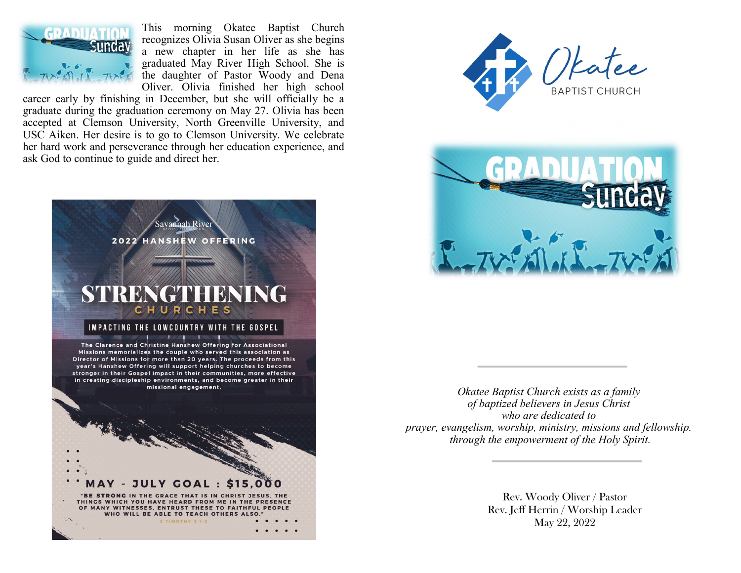

This morning Okatee Baptist Church recognizes Olivia Susan Oliver as she begins a new chapter in her life as she has graduated May River High School. She is the daughter of Pastor Woody and Dena Oliver. Olivia finished her high school

career early by finishing in December, but she will officially be a graduate during the graduation ceremony on May 27. Olivia has been accepted at Clemson University, North Greenville University, and USC Aiken. Her desire is to go to Clemson University. We celebrate her hard work and perseverance through her education experience, and ask God to continue to guide and direct her.







*Okatee Baptist Church exists as a family of baptized believers in Jesus Christ who are dedicated to prayer, evangelism, worship, ministry, missions and fellowship. through the empowerment of the Holy Spirit.*

> Rev. Woody Oliver / Pastor Rev. Jeff Herrin / Worship Leader May 22, 2022